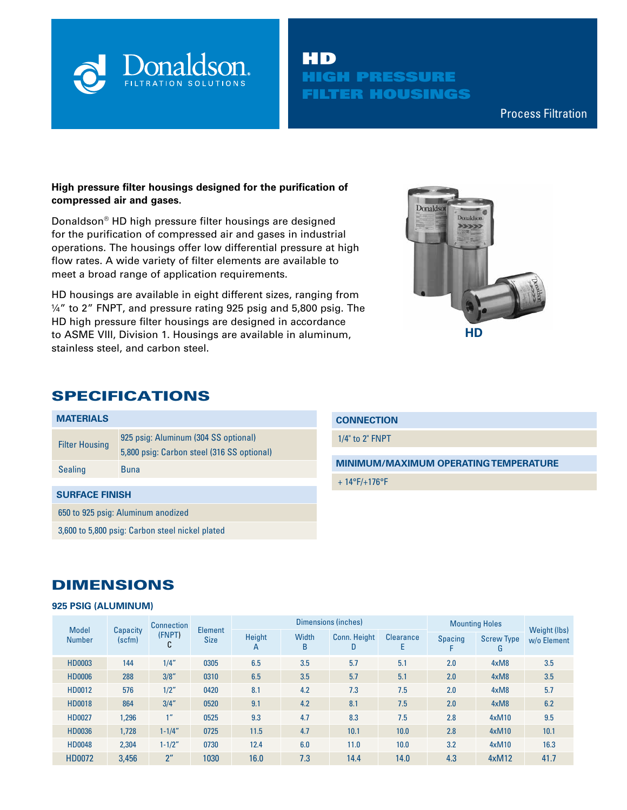

# HD HIGH PRESSURE FILTER HOUSINGS

Compressed Air & Process Filtration

## **High pressure filter housings designed for the purification of compressed air and gases.**

Donaldson® HD high pressure filter housings are designed for the purification of compressed air and gases in industrial operations. The housings offer low differential pressure at high flow rates. A wide variety of filter elements are available to meet a broad range of application requirements.

HD housings are available in eight different sizes, ranging from ¼" to 2" FNPT, and pressure rating 925 psig and 5,800 psig. The HD high pressure filter housings are designed in accordance to ASME VIII, Division 1. Housings are available in aluminum, stainless steel, and carbon steel.



# SPECIFICATIONS

| <b>MATERIALS</b>                                |                                                                                    | СC  |  |  |  |
|-------------------------------------------------|------------------------------------------------------------------------------------|-----|--|--|--|
| <b>Filter Housing</b>                           | 925 psig: Aluminum (304 SS optional)<br>5,800 psig: Carbon steel (316 SS optional) | 1/4 |  |  |  |
| <b>Sealing</b>                                  | <b>Buna</b>                                                                        |     |  |  |  |
| <b>SURFACE FINISH</b>                           |                                                                                    |     |  |  |  |
| 650 to 925 psig: Aluminum anodized              |                                                                                    |     |  |  |  |
| 3,600 to 5,800 psig: Carbon steel nickel plated |                                                                                    |     |  |  |  |

### **CONNECTION**

1/4" to 2" FNPT

**MINIMUM/MAXIMUM OPERATING TEMPERATURE**

14°F/+176°F

# DIMENSIONS

### **925 PSIG (ALUMINUM)**

| <b>Model</b><br>Capacity<br>(FNPT)<br>(scfm)<br><b>Number</b><br>r<br>U |       | <b>Connection</b> |                               |             |                   | Dimensions (inches)      | <b>Mounting Holes</b> |                |                        |                             |
|-------------------------------------------------------------------------|-------|-------------------|-------------------------------|-------------|-------------------|--------------------------|-----------------------|----------------|------------------------|-----------------------------|
|                                                                         |       |                   | <b>Element</b><br><b>Size</b> | Height<br>A | <b>Width</b><br>B | <b>Conn. Height</b><br>D | <b>Clearance</b><br>Е | <b>Spacing</b> | <b>Screw Type</b><br>G | Weight (lbs)<br>w/o Element |
| HD0003                                                                  | 144   | 1/4"              | 0305                          | 6.5         | 3.5               | 5.7                      | 5.1                   | 2.0            | 4xM8                   | 3.5                         |
| <b>HD0006</b>                                                           | 288   | 3/8''             | 0310                          | 6.5         | 3.5               | 5.7                      | 5.1                   | 2.0            | 4xM8                   | 3.5                         |
| HD0012                                                                  | 576   | 1/2"              | 0420                          | 8.1         | 4.2               | 7.3                      | 7.5                   | 2.0            | 4xM8                   | 5.7                         |
| <b>HD0018</b>                                                           | 864   | 3/4''             | 0520                          | 9.1         | 4.2               | 8.1                      | 7.5                   | 2.0            | 4xM8                   | 6.2                         |
| <b>HD0027</b>                                                           | 1,296 | 1 <sup>n</sup>    | 0525                          | 9.3         | 4.7               | 8.3                      | 7.5                   | 2.8            | 4xM10                  | 9.5                         |
| <b>HD0036</b>                                                           | 1,728 | $1 - 1/4"$        | 0725                          | 11.5        | 4.7               | 10.1                     | 10.0                  | 2.8            | 4xM10                  | 10.1                        |
| <b>HD0048</b>                                                           | 2,304 | $1 - 1/2"$        | 0730                          | 12.4        | 6.0               | 11.0                     | 10.0                  | 3.2            | 4xM10                  | 16.3                        |
| HD0072                                                                  | 3.456 | 2 <sup>n</sup>    | 1030                          | 16.0        | 7.3               | 14.4                     | 14.0                  | 4.3            | 4xM12                  | 41.7                        |